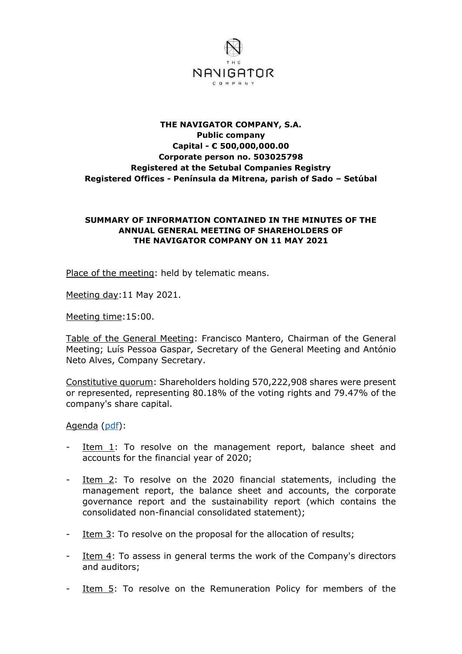

## **THE NAVIGATOR COMPANY, S.A. Public company Capital - € 500,000,000.00 Corporate person no. 503025798 Registered at the Setubal Companies Registry Registered Offices - Península da Mitrena, parish of Sado – Setúbal**

## **SUMMARY OF INFORMATION CONTAINED IN THE MINUTES OF THE ANNUAL GENERAL MEETING OF SHAREHOLDERS OF THE NAVIGATOR COMPANY ON 11 MAY 2021**

Place of the meeting: held by telematic means.

Meeting day:11 May 2021.

Meeting time:15:00.

Table of the General Meeting: Francisco Mantero, Chairman of the General Meeting; Luís Pessoa Gaspar, Secretary of the General Meeting and António Neto Alves, Company Secretary.

Constitutive quorum: Shareholders holding 570,222,908 shares were present or represented, representing 80.18% of the voting rights and 79.47% of the company's share capital.

Agenda [\(pdf\)](http://www.thenavigatorcompany.com/var/ezdemo_site/storage/original/application/9deadf2f22ff1e62a9e72c17696ae1b2.pdf):

- Item 1: To resolve on the management report, balance sheet and accounts for the financial year of 2020;
- Item 2: To resolve on the 2020 financial statements, including the management report, the balance sheet and accounts, the corporate governance report and the sustainability report (which contains the consolidated non-financial consolidated statement);
- Item  $3$ : To resolve on the proposal for the allocation of results;
- Item  $4$ : To assess in general terms the work of the Company's directors and auditors;
- Item 5: To resolve on the Remuneration Policy for members of the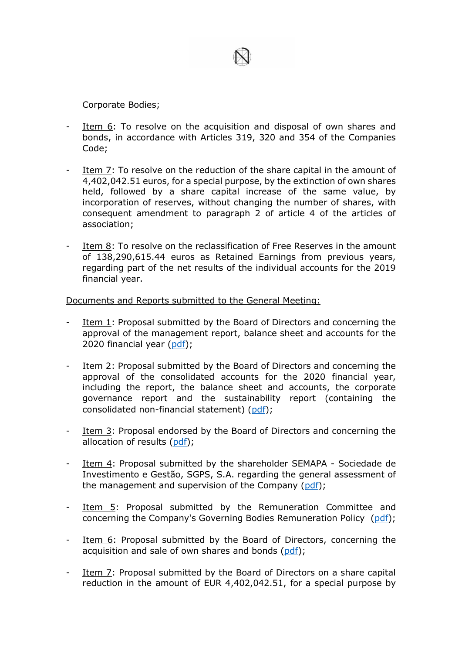

Corporate Bodies;

- Item 6: To resolve on the acquisition and disposal of own shares and bonds, in accordance with Articles 319, 320 and 354 of the Companies Code;
- Item 7: To resolve on the reduction of the share capital in the amount of 4,402,042.51 euros, for a special purpose, by the extinction of own shares held, followed by a share capital increase of the same value, by incorporation of reserves, without changing the number of shares, with consequent amendment to paragraph 2 of article 4 of the articles of association;
- Item 8: To resolve on the reclassification of Free Reserves in the amount of 138,290,615.44 euros as Retained Earnings from previous years, regarding part of the net results of the individual accounts for the 2019 financial year.

Documents and Reports submitted to the General Meeting:

- Item 1: Proposal submitted by the Board of Directors and concerning the approval of the management report, balance sheet and accounts for the 2020 financial year [\(pdf\)](http://www.thenavigatorcompany.com/var/ezdemo_site/storage/original/application/70e85a6a95419f91e1c3bc406982718e.pdf);
- Item 2: Proposal submitted by the Board of Directors and concerning the approval of the consolidated accounts for the 2020 financial year, including the report, the balance sheet and accounts, the corporate governance report and the sustainability report (containing the consolidated non-financial statement) [\(pdf\)](http://www.thenavigatorcompany.com/var/ezdemo_site/storage/original/application/1ca338b1aea3fada0d50f504275e4b79.pdf);
- Item 3: Proposal endorsed by the Board of Directors and concerning the allocation of results [\(pdf\)](http://www.thenavigatorcompany.com/var/ezdemo_site/storage/original/application/733ff9f507c3e16ac5f7248525fc68d8.pdf);
- Item 4: Proposal submitted by the shareholder SEMAPA Sociedade de Investimento e Gestão, SGPS, S.A. regarding the general assessment of the management and supervision of the Company  $(\text{pdf})$ ;
- Item 5: Proposal submitted by the Remuneration Committee and concerning the Company's Governing Bodies Remuneration Policy [\(pdf\)](http://www.thenavigatorcompany.com/var/ezdemo_site/storage/original/application/9799f2a25b850530e95ef5bd83bc3cd4.pdf);
- Item 6: Proposal submitted by the Board of Directors, concerning the acquisition and sale of own shares and bonds [\(pdf\)](http://www.thenavigatorcompany.com/var/ezdemo_site/storage/original/application/5c7bef0a1f1829ac35e9142d09dbe57f.pdf);
- Item 7: Proposal submitted by the Board of Directors on a share capital reduction in the amount of EUR 4,402,042.51, for a special purpose by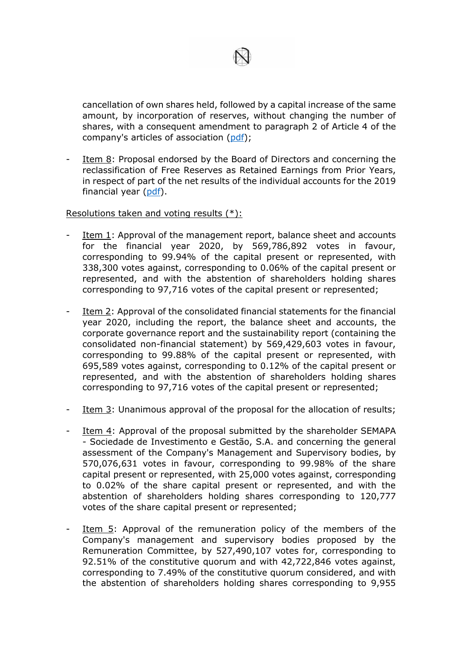

cancellation of own shares held, followed by a capital increase of the same amount, by incorporation of reserves, without changing the number of shares, with a consequent amendment to paragraph 2 of Article 4 of the company's articles of association [\(pdf\)](http://www.thenavigatorcompany.com/var/ezdemo_site/storage/original/application/b5087ca0faf48d19d60a09e9e8676a04.pdf);

Item 8: Proposal endorsed by the Board of Directors and concerning the reclassification of Free Reserves as Retained Earnings from Prior Years, in respect of part of the net results of the individual accounts for the 2019 financial year [\(pdf\)](http://www.thenavigatorcompany.com/var/ezdemo_site/storage/original/application/a8fa7fe1d8984cad8805dbfb90280c1f.pdf).

## Resolutions taken and voting results (\*):

- Item 1: Approval of the management report, balance sheet and accounts for the financial year 2020, by 569,786,892 votes in favour, corresponding to 99.94% of the capital present or represented, with 338,300 votes against, corresponding to 0.06% of the capital present or represented, and with the abstention of shareholders holding shares corresponding to 97,716 votes of the capital present or represented;
- Item 2: Approval of the consolidated financial statements for the financial year 2020, including the report, the balance sheet and accounts, the corporate governance report and the sustainability report (containing the consolidated non-financial statement) by 569,429,603 votes in favour, corresponding to 99.88% of the capital present or represented, with 695,589 votes against, corresponding to 0.12% of the capital present or represented, and with the abstention of shareholders holding shares corresponding to 97,716 votes of the capital present or represented;
- Item 3: Unanimous approval of the proposal for the allocation of results;
- Item 4: Approval of the proposal submitted by the shareholder SEMAPA - Sociedade de Investimento e Gestão, S.A. and concerning the general assessment of the Company's Management and Supervisory bodies, by 570,076,631 votes in favour, corresponding to 99.98% of the share capital present or represented, with 25,000 votes against, corresponding to 0.02% of the share capital present or represented, and with the abstention of shareholders holding shares corresponding to 120,777 votes of the share capital present or represented;
- Item 5: Approval of the remuneration policy of the members of the Company's management and supervisory bodies proposed by the Remuneration Committee, by 527,490,107 votes for, corresponding to 92.51% of the constitutive quorum and with 42,722,846 votes against, corresponding to 7.49% of the constitutive quorum considered, and with the abstention of shareholders holding shares corresponding to 9,955